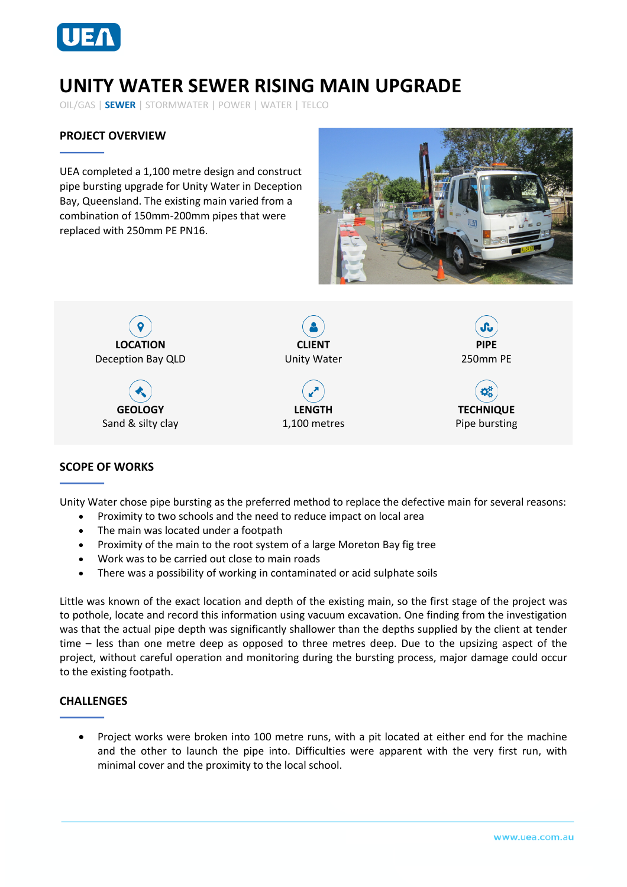

# **UNITY WATER SEWER RISING MAIN UPGRADE**

OIL/GAS | **SEWER** | STORMWATER | POWER | WATER | TELCO

## **PROJECT OVERVIEW**

UEA completed a 1,100 metre design and construct pipe bursting upgrade for Unity Water in Deception Bay, Queensland. The existing main varied from a combination of 150mm-200mm pipes that were replaced with 250mm PE PN16.





#### **SCOPE OF WORKS**

Unity Water chose pipe bursting as the preferred method to replace the defective main for several reasons:

- Proximity to two schools and the need to reduce impact on local area
- The main was located under a footpath
- Proximity of the main to the root system of a large Moreton Bay fig tree
- Work was to be carried out close to main roads
- There was a possibility of working in contaminated or acid sulphate soils

Little was known of the exact location and depth of the existing main, so the first stage of the project was to pothole, locate and record this information using vacuum excavation. One finding from the investigation was that the actual pipe depth was significantly shallower than the depths supplied by the client at tender time – less than one metre deep as opposed to three metres deep. Due to the upsizing aspect of the project, without careful operation and monitoring during the bursting process, major damage could occur to the existing footpath.

#### **CHALLENGES**

• Project works were broken into 100 metre runs, with a pit located at either end for the machine and the other to launch the pipe into. Difficulties were apparent with the very first run, with minimal cover and the proximity to the local school.